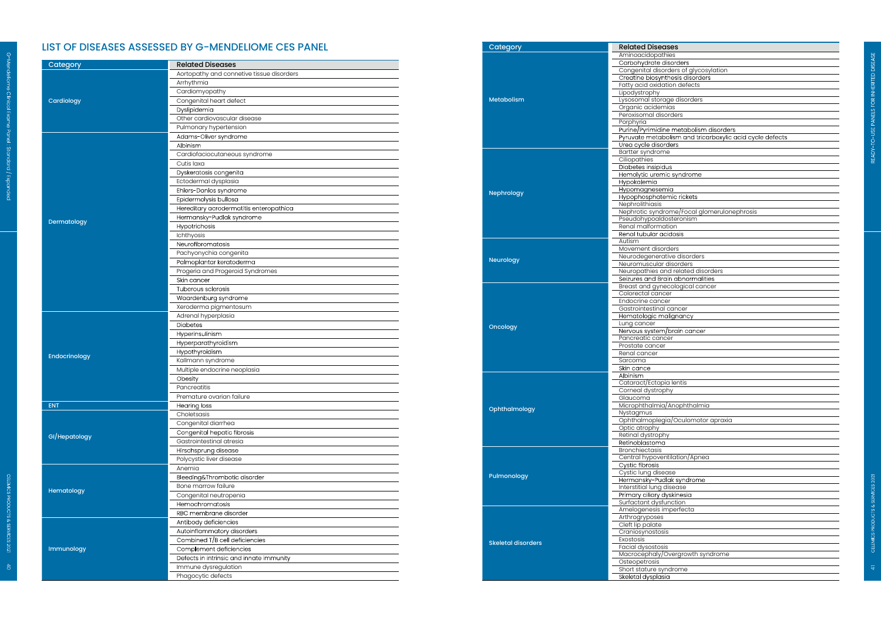## LIST OF DISEASES ASSESSED BY G-MENDELIOME CES PANEL

ndeliome Clinical Exome Panel : Standard / Expanded

| Category      | <b>Related Diseases</b>                   |                           | Carbohydrate disorders                                                 |
|---------------|-------------------------------------------|---------------------------|------------------------------------------------------------------------|
|               | Aortopathy and connetive tissue disorders |                           | Congenital disorders of glycosylation                                  |
|               | Arrhythmia                                |                           | Creatine biosynthesis disorders<br>Fatty acid oxidation defects        |
|               | Cardiomyopathy                            |                           | Lipodystrophy                                                          |
|               | Congenital heart defect                   | <b>Metabolism</b>         | Lysosomal storage disorders                                            |
| Cardiology    | Dyslipidemia                              |                           | Organic acidemias                                                      |
|               | Other cardiovascular disease              |                           | Peroxisomal disorders                                                  |
|               |                                           |                           | Porphyria                                                              |
|               | Pulmonary hypertension                    |                           | Purine/Pyrimidine metabolism disorders                                 |
|               | Adams-Oliver syndrome                     |                           | Pyruvate metabolism and tricarboxylic acid cycle defects               |
|               | Albinism                                  |                           | Urea cycle disorders<br>Bartter syndrome                               |
|               | Cardiofaciocutaneous syndrome             |                           | Ciliopathies                                                           |
|               | Cutis laxa                                |                           | Diabetes insipidus                                                     |
|               | Dyskeratosis congenita                    |                           | Hemolytic uremic syndrome                                              |
|               | Ectodermal dysplasia                      |                           | Hypokalemia                                                            |
|               | Ehlers-Danlos syndrome                    | Nephrology                | Hypomagnesemia                                                         |
|               | Epidermolysis bullosa                     |                           | Hypophosphatemic rickets                                               |
|               | Hereditary acrodermatitis enteropathica   |                           | Nephrolithiasis                                                        |
| Dermatology   | Hermansky-Pudlak syndrome                 |                           | Nephrotic syndrome/Focal glomerulonephrosis<br>Pseudohypoaldosteronism |
|               | Hypotrichosis                             |                           | Renal malformation                                                     |
|               | Ichthyosis                                |                           | Renal tubular acidosis                                                 |
|               | Neurofibromatosis                         |                           | Autism                                                                 |
|               |                                           |                           | Movement disorders                                                     |
|               | Pachyonychia congenita                    | Neurology                 | Neurodegenerative disorders                                            |
|               | Palmoplantar keratoderma                  |                           | Neuromuscular disorders                                                |
|               | Progeria and Progeroid Syndromes          |                           | Neuropathies and related disorders                                     |
|               | Skin cancer                               |                           | Seizures and Brain abnormalities<br>Breast and gynecological cancer    |
|               | Tuberous sclerosis                        |                           | Colorectal cancer                                                      |
|               | Waardenburg syndrome                      |                           | Endocrine cancer                                                       |
|               | Xeroderma pigmentosum                     |                           | Gastrointestinal cancer                                                |
| Endocrinology | Adrenal hyperplasia                       |                           | Hematologic malignancy                                                 |
|               | Diabetes                                  | Oncology                  | Lung cancer                                                            |
|               | Hyperinsulinism                           |                           | Nervous system/brain cancer                                            |
|               | Hyperparathyroidism                       |                           | Pancreatic cancer                                                      |
|               | Hypothyroidism                            |                           | Prostate cancer<br>Renal cancer                                        |
|               | Kallmann syndrome                         |                           | Sarcoma                                                                |
|               | Multiple endocrine neoplasia              |                           | Skin cance                                                             |
|               | Obesity                                   |                           | Abinism                                                                |
|               |                                           |                           | Cataract/Ectopia lentis                                                |
|               | Pancreatitis                              |                           | Corneal dystrophy                                                      |
|               | Premature ovarian failure                 |                           | Glaucoma                                                               |
|               | Hearing loss                              | Ophthalmology             | Microphthalmia/Anophthalmia                                            |
| GI/Hepatology | Choletsasis                               |                           | Nystagmus<br>Ophthalmoplegia/Oculomotor apraxia                        |
|               | Congenital diarrhea                       |                           | Optic atrophy                                                          |
|               | Congenital hepatic fibrosis               |                           | Retinal dystrophy                                                      |
|               | Gastrointestinal atresia                  |                           | Retinoblastoma                                                         |
|               | Hirschsprung disease                      |                           | Bronchiectasis                                                         |
|               | Polycystic liver disease                  |                           | Central hypoventilation/Apnea                                          |
| Hematology    | Anemia                                    |                           | Cystic fibrosis                                                        |
|               | Bleeding&Thrombotic disorder              | Pulmonology               | Cystic lung disease                                                    |
|               | Bone marrow failure                       |                           | Hermansky-Pudlak syndrome                                              |
|               | Congenital neutropenia                    |                           | Interstitial lung disease<br>Primary ciliary dyskinesia                |
|               |                                           |                           | Surfactant dysfunction                                                 |
|               | Hemochromatosis                           |                           | Amelogenesis imperfecta                                                |
| Immunology    | RBC membrane disorder                     |                           | Arthrogryposes                                                         |
|               | Antibody deficiencies                     |                           | Cleft lip palate                                                       |
|               | Autoinflammatory disorders                |                           | Craniosynostosis                                                       |
|               | Combined T/B cell deficiencies            | <b>Skeletal disorders</b> | Exostosis                                                              |
|               | Complement deficiencies                   |                           | Facial dysostosis                                                      |
|               | Defects in intrinsic and innate immunity  |                           | Macrocephaly/Overgrowth syndrome                                       |
|               | Immune dysregulation                      |                           | Osteopetrosis<br>Short stature syndrome                                |
|               | Phagocytic defects                        |                           | Skeletal dysplasia                                                     |
|               |                                           |                           |                                                                        |

| Category                  | <b>Related Diseases</b>                                  |
|---------------------------|----------------------------------------------------------|
|                           | Aminoacidopathies                                        |
|                           | Carbohydrate disorders                                   |
|                           | Congenital disorders of glycosylation                    |
|                           | Creatine biosynthesis disorders                          |
|                           | Fatty acid oxidation defects                             |
|                           | Lipodystrophy                                            |
| <b>Metabolism</b>         | Lysosomal storage disorders                              |
|                           | Organic acidemias                                        |
|                           | Peroxisomal disorders                                    |
|                           | Porphyria                                                |
|                           | Purine/Pyrimidine metabolism disorders                   |
|                           | Pyruvate metabolism and tricarboxylic acid cycle defects |
|                           | Urea cycle disorders                                     |
|                           | Bartter syndrome                                         |
|                           | Ciliopathies                                             |
|                           | Diabetes insipidus<br>Hemolytic uremic syndrome          |
|                           |                                                          |
|                           | Hypokalemia                                              |
| Nephrology                | Hypomagnesemia                                           |
|                           | Hypophosphatemic rickets<br>Nephrolithiasis              |
|                           | Nephrotic syndrome/Focal glomerulonephrosis              |
|                           |                                                          |
|                           | Pseudohypoaldosteronism<br>Renal malformation            |
|                           | Renal tubular acidosis                                   |
|                           | Autism                                                   |
|                           | Movement disorders                                       |
|                           | Neurodegenerative disorders                              |
| Neurology                 | Neuromuscular disorders                                  |
|                           | Neuropathies and related disorders                       |
|                           | Seizures and Brain abnormalities                         |
|                           | Breast and gynecological cancer                          |
|                           | Colorectal cancer                                        |
|                           | Endocrine cancer                                         |
|                           | Gastrointestinal cancer                                  |
|                           | Hematologic malignancy                                   |
|                           | Lung cancer                                              |
| Oncology                  | Nervous system/brain cancer                              |
|                           | Pancreatic cancer                                        |
|                           | Prostate cancer                                          |
|                           | Renal cancer                                             |
|                           | Sarcoma                                                  |
|                           | Skin cance                                               |
|                           | Albinism                                                 |
|                           | Cataract/Ectopia lentis                                  |
|                           | Corneal dystrophy                                        |
|                           | Glaucoma                                                 |
|                           | Microphthalmia/Anophthalmia                              |
| Ophthalmology             | Nystagmus                                                |
|                           | Ophthalmoplegia/Oculomotor apraxia                       |
|                           | Optic atrophy                                            |
|                           | Retinal dystrophy                                        |
|                           | Retinoblastoma                                           |
|                           | Bronchiectasis                                           |
|                           | Central hypoventilation/Apnea                            |
|                           | Cystic fibrosis                                          |
| Pulmonology               | Cystic lung disease                                      |
|                           | Hermansky-Pudlak syndrome                                |
|                           | Interstitial lung disease                                |
|                           | Primary ciliary dyskinesia                               |
|                           | Surfactant dysfunction                                   |
|                           | Amelogenesis imperfecta                                  |
|                           | Arthrogryposes                                           |
|                           | Cleft lip palate                                         |
|                           | Craniosynostosis                                         |
| <b>Skeletal disorders</b> | Exostosis                                                |
|                           | Facial dysostosis                                        |
|                           |                                                          |
|                           | Macrocephaly/Overgrowth syndrome                         |
|                           | Osteopetrosis                                            |
|                           | Short stature syndrome                                   |